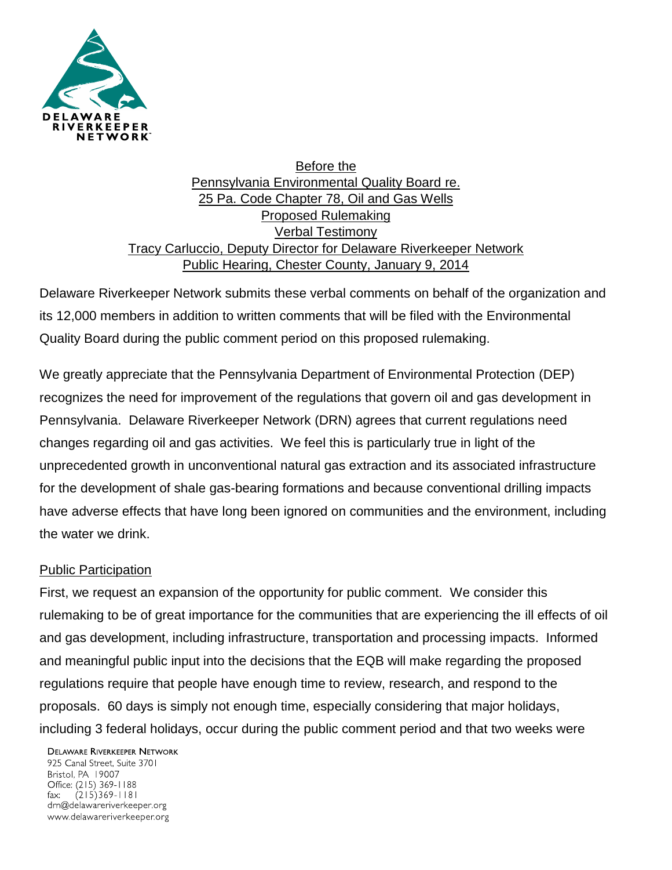

Before the Pennsylvania Environmental Quality Board re. 25 Pa. Code Chapter 78, Oil and Gas Wells Proposed Rulemaking Verbal Testimony Tracy Carluccio, Deputy Director for Delaware Riverkeeper Network Public Hearing, Chester County, January 9, 2014

Delaware Riverkeeper Network submits these verbal comments on behalf of the organization and its 12,000 members in addition to written comments that will be filed with the Environmental Quality Board during the public comment period on this proposed rulemaking.

We greatly appreciate that the Pennsylvania Department of Environmental Protection (DEP) recognizes the need for improvement of the regulations that govern oil and gas development in Pennsylvania. Delaware Riverkeeper Network (DRN) agrees that current regulations need changes regarding oil and gas activities. We feel this is particularly true in light of the unprecedented growth in unconventional natural gas extraction and its associated infrastructure for the development of shale gas-bearing formations and because conventional drilling impacts have adverse effects that have long been ignored on communities and the environment, including the water we drink.

## Public Participation

First, we request an expansion of the opportunity for public comment. We consider this rulemaking to be of great importance for the communities that are experiencing the ill effects of oil and gas development, including infrastructure, transportation and processing impacts. Informed and meaningful public input into the decisions that the EQB will make regarding the proposed regulations require that people have enough time to review, research, and respond to the proposals. 60 days is simply not enough time, especially considering that major holidays, including 3 federal holidays, occur during the public comment period and that two weeks were

**DELAWARE RIVERKEEPER NETWORK** 925 Canal Street, Suite 3701 Bristol, PA 19007 Office: (215) 369-1188  $(215)369 - 1181$ fax: drn@delawareriverkeeper.org www.delawareriverkeeper.org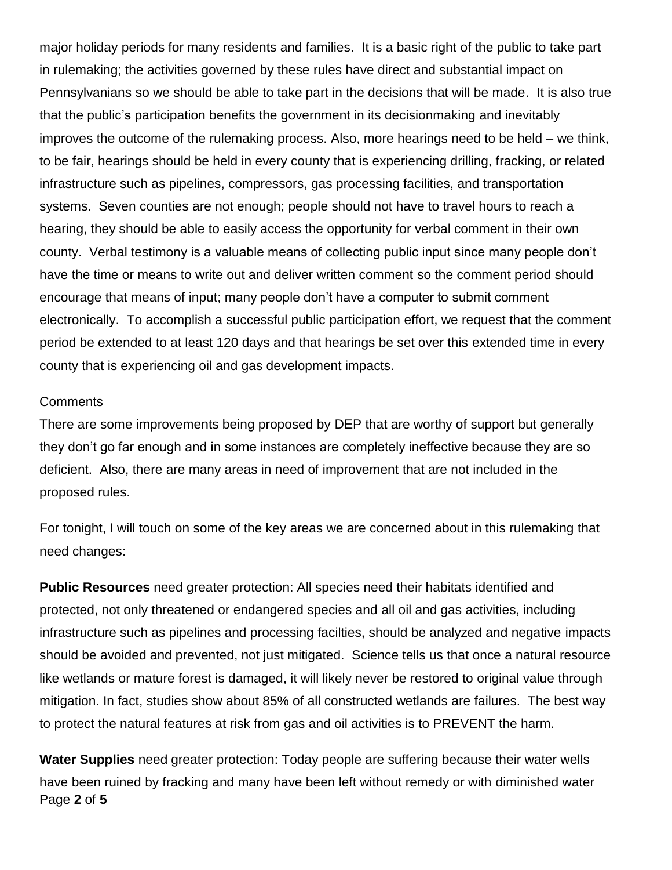major holiday periods for many residents and families. It is a basic right of the public to take part in rulemaking; the activities governed by these rules have direct and substantial impact on Pennsylvanians so we should be able to take part in the decisions that will be made. It is also true that the public's participation benefits the government in its decisionmaking and inevitably improves the outcome of the rulemaking process. Also, more hearings need to be held – we think, to be fair, hearings should be held in every county that is experiencing drilling, fracking, or related infrastructure such as pipelines, compressors, gas processing facilities, and transportation systems. Seven counties are not enough; people should not have to travel hours to reach a hearing, they should be able to easily access the opportunity for verbal comment in their own county. Verbal testimony is a valuable means of collecting public input since many people don't have the time or means to write out and deliver written comment so the comment period should encourage that means of input; many people don't have a computer to submit comment electronically. To accomplish a successful public participation effort, we request that the comment period be extended to at least 120 days and that hearings be set over this extended time in every county that is experiencing oil and gas development impacts.

## **Comments**

There are some improvements being proposed by DEP that are worthy of support but generally they don't go far enough and in some instances are completely ineffective because they are so deficient. Also, there are many areas in need of improvement that are not included in the proposed rules.

For tonight, I will touch on some of the key areas we are concerned about in this rulemaking that need changes:

**Public Resources** need greater protection: All species need their habitats identified and protected, not only threatened or endangered species and all oil and gas activities, including infrastructure such as pipelines and processing facilties, should be analyzed and negative impacts should be avoided and prevented, not just mitigated. Science tells us that once a natural resource like wetlands or mature forest is damaged, it will likely never be restored to original value through mitigation. In fact, studies show about 85% of all constructed wetlands are failures. The best way to protect the natural features at risk from gas and oil activities is to PREVENT the harm.

Page **2** of **5 Water Supplies** need greater protection: Today people are suffering because their water wells have been ruined by fracking and many have been left without remedy or with diminished water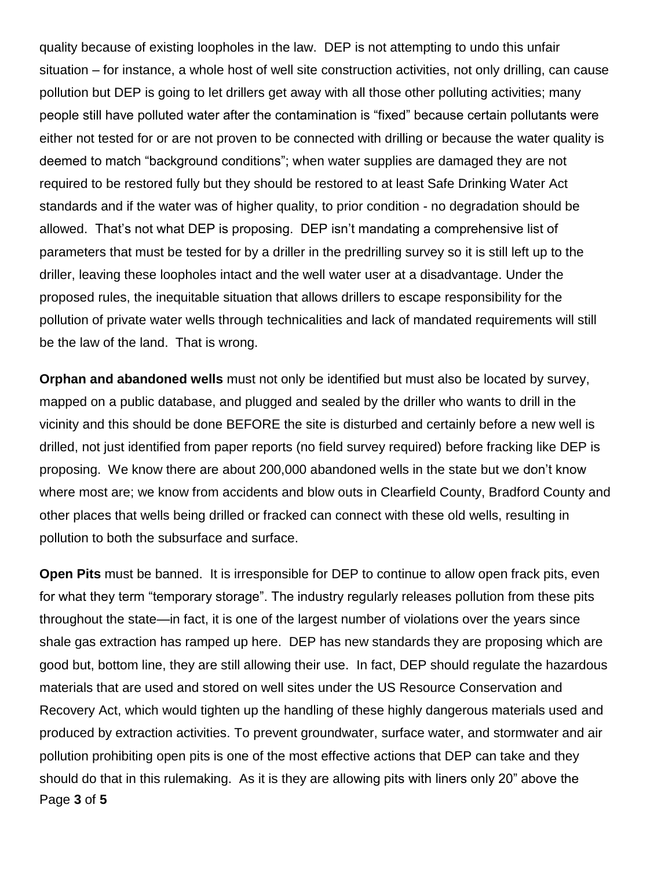quality because of existing loopholes in the law. DEP is not attempting to undo this unfair situation – for instance, a whole host of well site construction activities, not only drilling, can cause pollution but DEP is going to let drillers get away with all those other polluting activities; many people still have polluted water after the contamination is "fixed" because certain pollutants were either not tested for or are not proven to be connected with drilling or because the water quality is deemed to match "background conditions"; when water supplies are damaged they are not required to be restored fully but they should be restored to at least Safe Drinking Water Act standards and if the water was of higher quality, to prior condition - no degradation should be allowed. That's not what DEP is proposing. DEP isn't mandating a comprehensive list of parameters that must be tested for by a driller in the predrilling survey so it is still left up to the driller, leaving these loopholes intact and the well water user at a disadvantage. Under the proposed rules, the inequitable situation that allows drillers to escape responsibility for the pollution of private water wells through technicalities and lack of mandated requirements will still be the law of the land. That is wrong.

**Orphan and abandoned wells** must not only be identified but must also be located by survey, mapped on a public database, and plugged and sealed by the driller who wants to drill in the vicinity and this should be done BEFORE the site is disturbed and certainly before a new well is drilled, not just identified from paper reports (no field survey required) before fracking like DEP is proposing. We know there are about 200,000 abandoned wells in the state but we don't know where most are; we know from accidents and blow outs in Clearfield County, Bradford County and other places that wells being drilled or fracked can connect with these old wells, resulting in pollution to both the subsurface and surface.

Page **3** of **5 Open Pits** must be banned. It is irresponsible for DEP to continue to allow open frack pits, even for what they term "temporary storage". The industry regularly releases pollution from these pits throughout the state—in fact, it is one of the largest number of violations over the years since shale gas extraction has ramped up here. DEP has new standards they are proposing which are good but, bottom line, they are still allowing their use. In fact, DEP should regulate the hazardous materials that are used and stored on well sites under the US Resource Conservation and Recovery Act, which would tighten up the handling of these highly dangerous materials used and produced by extraction activities. To prevent groundwater, surface water, and stormwater and air pollution prohibiting open pits is one of the most effective actions that DEP can take and they should do that in this rulemaking. As it is they are allowing pits with liners only 20" above the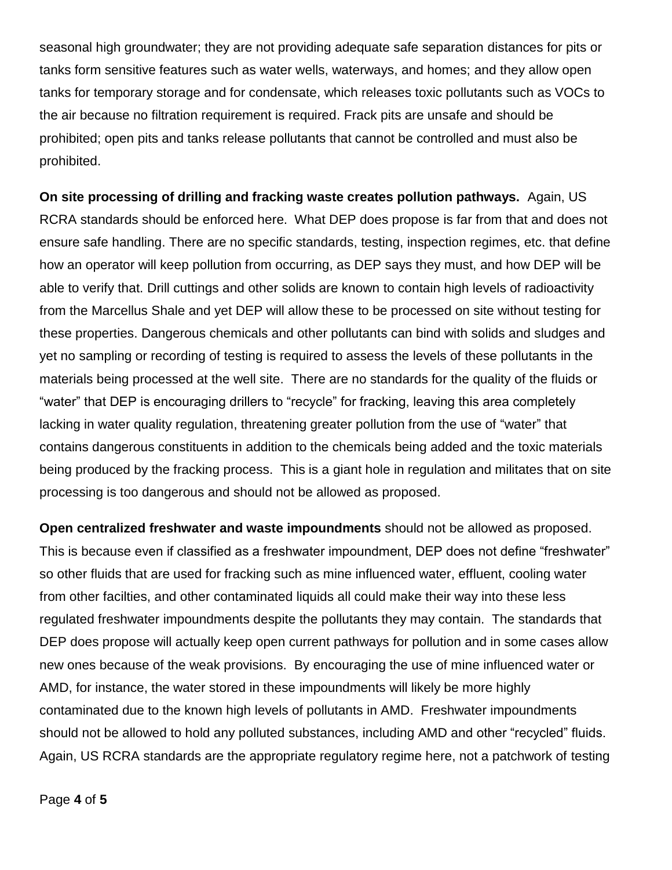seasonal high groundwater; they are not providing adequate safe separation distances for pits or tanks form sensitive features such as water wells, waterways, and homes; and they allow open tanks for temporary storage and for condensate, which releases toxic pollutants such as VOCs to the air because no filtration requirement is required. Frack pits are unsafe and should be prohibited; open pits and tanks release pollutants that cannot be controlled and must also be prohibited.

**On site processing of drilling and fracking waste creates pollution pathways.** Again, US RCRA standards should be enforced here. What DEP does propose is far from that and does not ensure safe handling. There are no specific standards, testing, inspection regimes, etc. that define how an operator will keep pollution from occurring, as DEP says they must, and how DEP will be able to verify that. Drill cuttings and other solids are known to contain high levels of radioactivity from the Marcellus Shale and yet DEP will allow these to be processed on site without testing for these properties. Dangerous chemicals and other pollutants can bind with solids and sludges and yet no sampling or recording of testing is required to assess the levels of these pollutants in the materials being processed at the well site. There are no standards for the quality of the fluids or "water" that DEP is encouraging drillers to "recycle" for fracking, leaving this area completely lacking in water quality regulation, threatening greater pollution from the use of "water" that contains dangerous constituents in addition to the chemicals being added and the toxic materials being produced by the fracking process. This is a giant hole in regulation and militates that on site processing is too dangerous and should not be allowed as proposed.

**Open centralized freshwater and waste impoundments** should not be allowed as proposed. This is because even if classified as a freshwater impoundment, DEP does not define "freshwater" so other fluids that are used for fracking such as mine influenced water, effluent, cooling water from other facilties, and other contaminated liquids all could make their way into these less regulated freshwater impoundments despite the pollutants they may contain. The standards that DEP does propose will actually keep open current pathways for pollution and in some cases allow new ones because of the weak provisions. By encouraging the use of mine influenced water or AMD, for instance, the water stored in these impoundments will likely be more highly contaminated due to the known high levels of pollutants in AMD. Freshwater impoundments should not be allowed to hold any polluted substances, including AMD and other "recycled" fluids. Again, US RCRA standards are the appropriate regulatory regime here, not a patchwork of testing